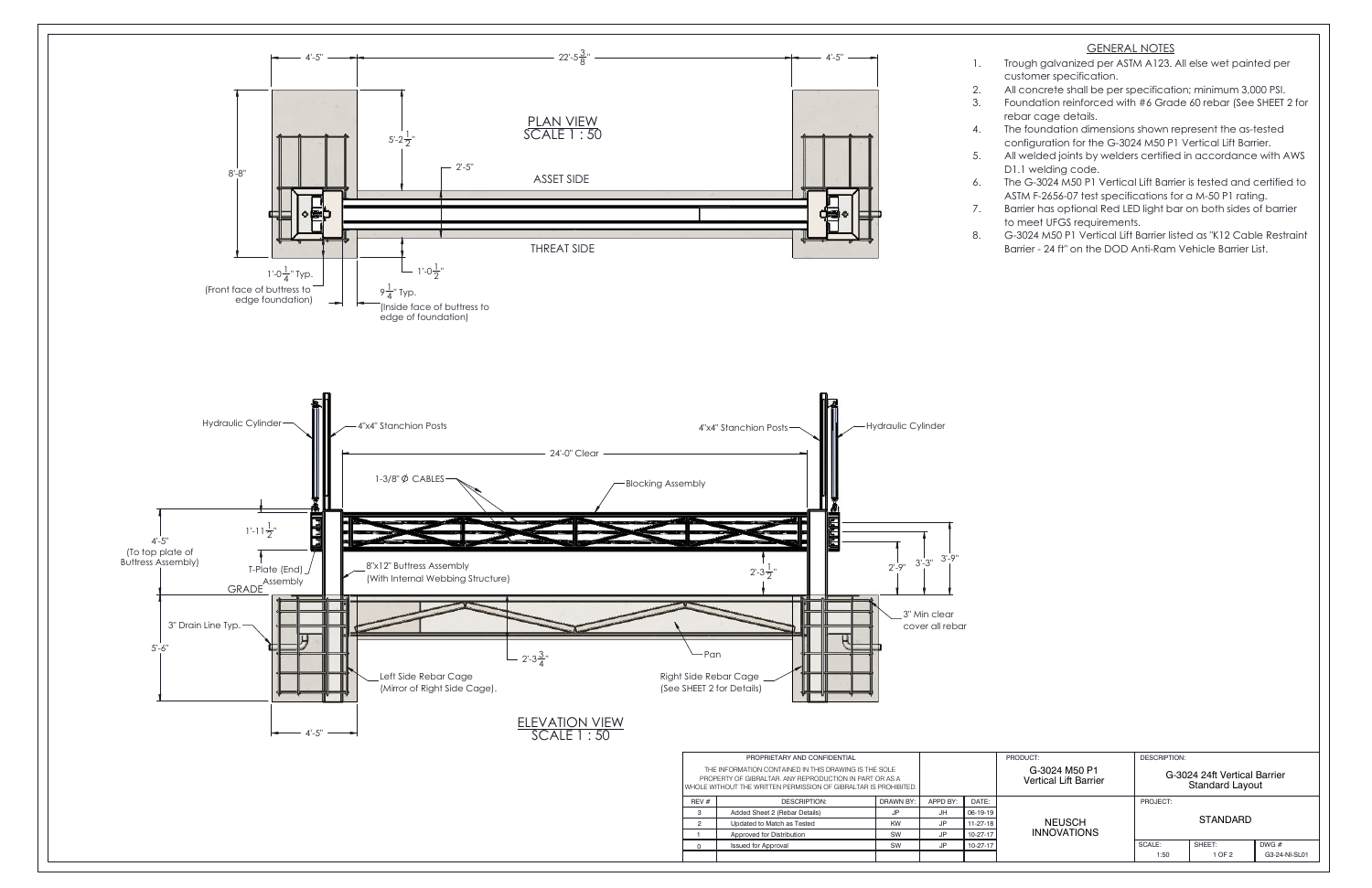| PRODUCT:                               | <b>DESCRIPTION:</b>                                    |        |               |
|----------------------------------------|--------------------------------------------------------|--------|---------------|
| G-3024 M50 P1<br>Vertical Lift Barrier | G-3024 24ft Vertical Barrier<br><b>Standard Layout</b> |        |               |
|                                        | PROJECT:                                               |        |               |
| <b>NEUSCH</b><br><b>INNOVATIONS</b>    | <b>STANDARD</b>                                        |        |               |
|                                        | SCALE:                                                 | SHEET: | DWG#          |
|                                        | 1:50                                                   | 1 OF 2 | G3-24-NI-SL01 |



## GENERAL NOTES

1. Trough galvanized per ASTM A123. All else wet painted per customer specification.

 All concrete shall be per specification; minimum 3,000 PSI. Foundation reinforced with #6 Grade 60 rebar (See SHEET 2 for rebar cage details.

 The foundation dimensions shown represent the as-tested configuration for the G-3024 M50 P1 Vertical Lift Barrier. All welded joints by welders certified in accordance with AWS

D1.1 welding code.

6. The G-3024 M50 P1 Vertical Lift Barrier is tested and certified to ASTM F-2656-07 test specifications for a M-50 P1 rating.

 Barrier has optional Red LED light bar on both sides of barrier to meet UFGS requirements.

 G-3024 M50 P1 Vertical Lift Barrier listed as "K12 Cable Restraint Barrier - 24 ft" on the DOD Anti-Ram Vehicle Barrier List.